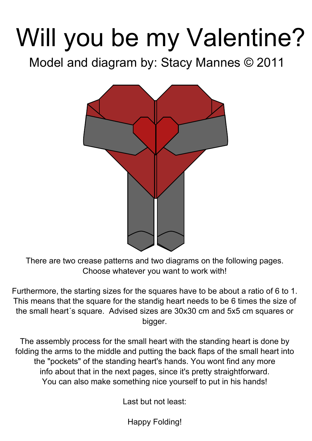# Will you be my Valentine? Model and diagram by: Stacy Mannes © 2011



There are two crease patterns and two diagrams on the following pages. Choose whatever you want to work with!

Furthermore, the starting sizes for the squares have to be about a ratio of 6 to 1. This means that the square for the standig heart needs to be 6 times the size of the small heart´s square. Advised sizes are 30x30 cm and 5x5 cm squares or bigger.

The assembly process for the small heart with the standing heart is done by folding the arms to the middle and putting the back flaps of the small heart into the "pockets" of the standing heart's hands. You wont find any more info about that in the next pages, since it's pretty straightforward. You can also make something nice yourself to put in his hands!

Last but not least:

Happy Folding!

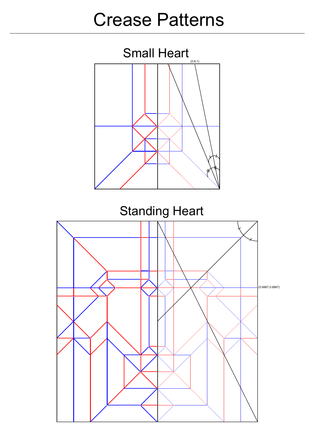### Crease Patterns





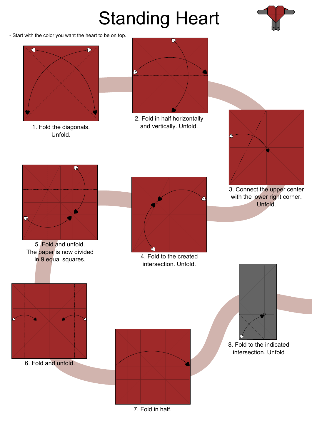1. Fold the diagonals. Unfold.



2. Fold in half horizontally and vertically. Unfold.



3. Connect the upper center with the lower right corner. Unfold.







4. Fold to the created intersection. Unfold.

5. Fold and unfold. The paper is now divided in 9 equal squares.

6. Fold and unfold.



7. Fold in half.



#### 8. Fold to the indicated intersection. Unfold

# Standing Heart



- Start with the color you want the heart to be on top.



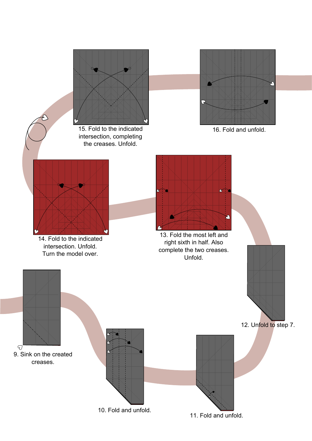



13. Fold the most left and right sixth in half. Also Unfold.

14. Fold to the indicated intersection. Unfold. Turn the model over.



intersection, completing



the creases. Unfold.

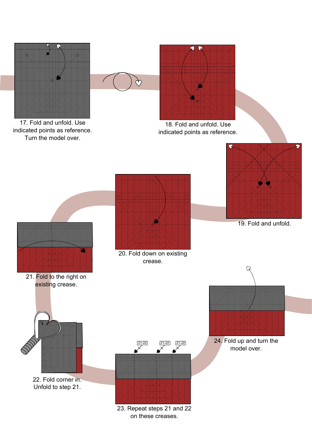



17. Fold and unfold. Use indicated points as reference. Turn the model over.

18. Fold and unfold. Use indicated points as reference.

 $Q \R$ 





#### 19. Fold and unfold.

21. Fold to the right on

#### 20. Fold down on existing crease.





23. Repeat steps 21 and 22 on these creases.

24. Fold up and turn the model over.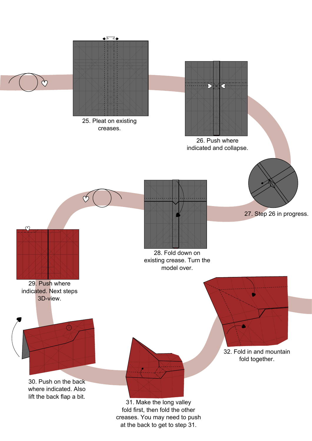



26. Push where



29. Push where indicated. Next steps 3D-view.



30. Push on the back where indicated. Also lift the back flap a bit.



31. Make the long valley fold first, then fold the other creases. You may need to push



| at the back to get to step 31. |  |
|--------------------------------|--|
|--------------------------------|--|

### 32. Fold in and mountain fold together.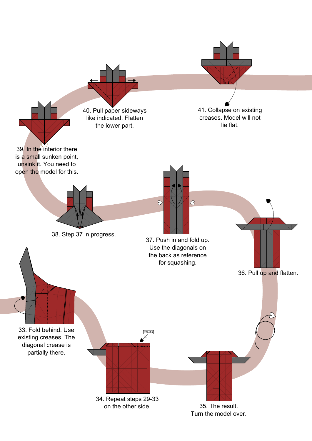existing creases. The diagonal crease is partially there.



36. Pull up and flatten.

37. Push in and fold up. Use the diagonals on the back as reference for squashing.

 $\Diamond$ 

 $\bigotimes$ 



38. Step 37 in progress.

39. In the interior there is a small sunken point, unsink it. You need to open the model for this. 40. Pull paper sideways like indicated. Flatten the lower part.

41. Collapse on existing creases. Model will not lie flat.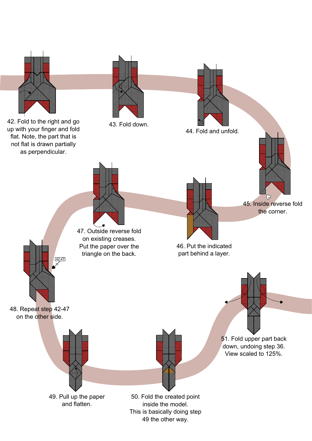

not flat is drawn partially as perpendicular.

> 46. Put the indicated part behind a layer.



 $42 - 47$ 

45. Inside reverse fold the corner.

 $\bigcup$ 

47. Outside reverse fold on existing creases. Put the paper over the triangle on the back.

48. Repeat step 42-47 on the other side.



This is basically doing step 49 the other way.

51. Fold upper part back down, undoing step 36. View scaled to 125%.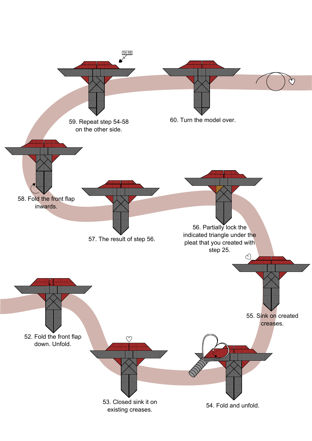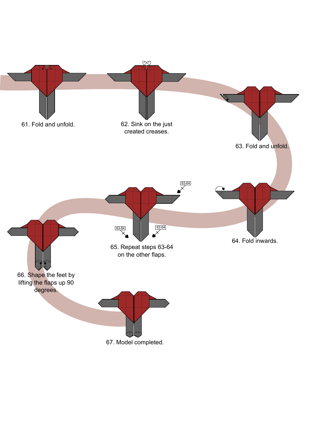

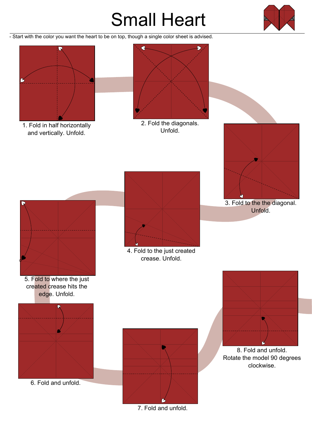1. Fold in half horizontally and vertically. Unfold.



2. Fold the diagonals. Unfold.





3. Fold to the the diagonal. Unfold.



4. Fold to the just created crease. Unfold.



5. Fold to where the just



created crease hits the edge. Unfold.





7. Fold and unfold.

8. Fold and unfold. Rotate the model 90 degrees clockwise.

## Small Heart



- Start with the color you want the heart to be on top, though a single color sheet is advised.

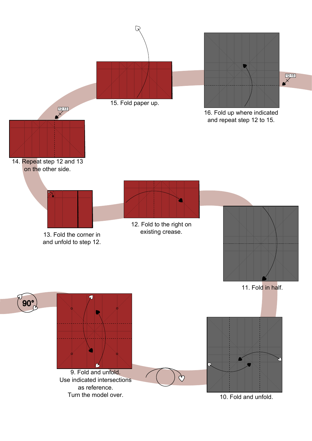90°





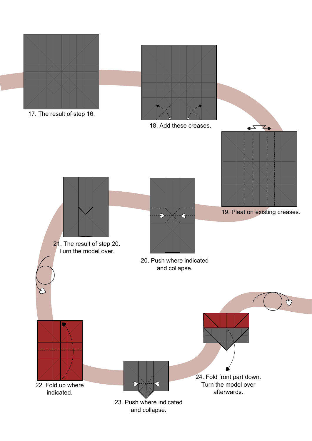





18. Add these creases.

19. Pleat on existing creases.

20. Push where indicated and collapse.